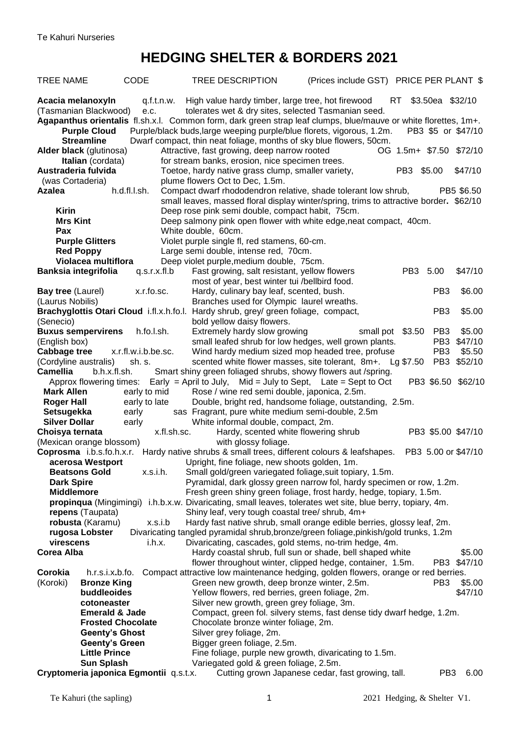# **HEDGING SHELTER & BORDERS 2021**

| <b>TREE NAME</b>                                                  | <b>CODE</b>         | <b>TREE DESCRIPTION</b>                                                                                                                                                                                                                                                                              | (Prices include GST) PRICE PER PLANT \$           |                                        |
|-------------------------------------------------------------------|---------------------|------------------------------------------------------------------------------------------------------------------------------------------------------------------------------------------------------------------------------------------------------------------------------------------------------|---------------------------------------------------|----------------------------------------|
| Acacia melanoxyln<br>(Tasmanian Blackwood)<br><b>Purple Cloud</b> | q.f.t.n.w.<br>e.c.  | High value hardy timber, large tree, hot firewood<br>tolerates wet & dry sites, selected Tasmanian seed.<br>Agapanthus orientalis fl.sh.x.l. Common form, dark green strap leaf clumps, blue/mauve or white florettes, 1m+.<br>Purple/black buds, large weeping purple/blue florets, vigorous, 1.2m. | RT.                                               | \$3.50ea \$32/10<br>PB3 \$5 or \$47/10 |
| <b>Streamline</b><br>Alder black (glutinosa)                      |                     | Dwarf compact, thin neat foliage, months of sky blue flowers, 50cm.<br>Attractive, fast growing, deep narrow rooted                                                                                                                                                                                  |                                                   | OG 1.5m+ \$7.50 \$72/10                |
| Italian (cordata)<br>Austraderia fulvida                          |                     | for stream banks, erosion, nice specimen trees.<br>Toetoe, hardy native grass clump, smaller variety,                                                                                                                                                                                                |                                                   | PB <sub>3</sub><br>\$5.00<br>\$47/10   |
| (was Cortaderia)<br><b>Azalea</b>                                 | h.d.fl.l.sh.        | plume flowers Oct to Dec, 1.5m.<br>Compact dwarf rhododendron relative, shade tolerant low shrub,<br>small leaves, massed floral display winter/spring, trims to attractive border. \$62/10                                                                                                          |                                                   | PB5 \$6.50                             |
| <b>Kirin</b><br><b>Mrs Kint</b><br>Pax                            |                     | Deep rose pink semi double, compact habit, 75cm.<br>Deep salmony pink open flower with white edge, neat compact, 40cm.<br>White double, 60cm.                                                                                                                                                        |                                                   |                                        |
| <b>Purple Glitters</b><br><b>Red Poppy</b>                        |                     | Violet purple single fl, red stamens, 60-cm.<br>Large semi double, intense red, 70cm.                                                                                                                                                                                                                |                                                   |                                        |
| Violacea multiflora<br><b>Banksia integrifolia</b>                | q.s.r.x.f.l.b       | Deep violet purple, medium double, 75cm.<br>Fast growing, salt resistant, yellow flowers                                                                                                                                                                                                             |                                                   | PB <sub>3</sub><br>5.00<br>\$47/10     |
| <b>Bay tree (Laurel)</b>                                          | x.r.fo.sc.          | most of year, best winter tui /bellbird food.<br>Hardy, culinary bay leaf, scented, bush.                                                                                                                                                                                                            |                                                   | PB <sub>3</sub><br>\$6.00              |
| (Laurus Nobilis)                                                  |                     | Branches used for Olympic laurel wreaths.<br>Brachyglottis Otari Cloud i.fl.x.h.fo.l. Hardy shrub, grey/ green foliage, compact,                                                                                                                                                                     |                                                   | \$5.00<br>PB <sub>3</sub>              |
| (Senecio)                                                         |                     | bold yellow daisy flowers.                                                                                                                                                                                                                                                                           |                                                   |                                        |
| <b>Buxus sempervirens</b>                                         | h.fo.l.sh.          | Extremely hardy slow growing                                                                                                                                                                                                                                                                         | small pot                                         | \$3.50<br>PB <sub>3</sub><br>\$5.00    |
| (English box)                                                     |                     | small leafed shrub for low hedges, well grown plants.                                                                                                                                                                                                                                                |                                                   | PB <sub>3</sub><br>\$47/10             |
| <b>Cabbage tree</b>                                               | x.r.fl.w.i.b.be.sc. | Wind hardy medium sized mop headed tree, profuse                                                                                                                                                                                                                                                     |                                                   | PB <sub>3</sub><br>\$5.50              |
| (Cordyline australis)                                             | sh. s.              | scented white flower masses, site tolerant, 8m+. Lg \$7.50                                                                                                                                                                                                                                           |                                                   | PB3 \$52/10                            |
| Camellia<br>b.h.x.fl.sh.                                          |                     | Smart shiny green foliaged shrubs, showy flowers aut /spring.                                                                                                                                                                                                                                        |                                                   |                                        |
| Approx flowering times:                                           |                     | Early = April to July, Mid = July to Sept, Late = Sept to Oct                                                                                                                                                                                                                                        |                                                   | PB3 \$6.50 \$62/10                     |
| <b>Mark Allen</b>                                                 | early to mid        | Rose / wine red semi double, japonica, 2.5m.                                                                                                                                                                                                                                                         |                                                   |                                        |
| <b>Roger Hall</b>                                                 | early to late       | Double, bright red, handsome foliage, outstanding, 2.5m.                                                                                                                                                                                                                                             |                                                   |                                        |
| <b>Setsugekka</b>                                                 | early               | sas Fragrant, pure white medium semi-double, 2.5m                                                                                                                                                                                                                                                    |                                                   |                                        |
| <b>Silver Dollar</b>                                              | early               | White informal double, compact, 2m.                                                                                                                                                                                                                                                                  |                                                   |                                        |
| Choisya ternata                                                   | x.fl.sh.sc.         | Hardy, scented white flowering shrub                                                                                                                                                                                                                                                                 |                                                   | PB3 \$5.00 \$47/10                     |
| (Mexican orange blossom)                                          |                     | with glossy foliage.                                                                                                                                                                                                                                                                                 |                                                   |                                        |
| Coprosma i.b.s.fo.h.x.r.                                          |                     | Hardy native shrubs & small trees, different colours & leafshapes.                                                                                                                                                                                                                                   |                                                   | PB3 5.00 or \$47/10                    |
| acerosa Westport                                                  |                     | Upright, fine foliage, new shoots golden, 1m.                                                                                                                                                                                                                                                        |                                                   |                                        |
| <b>Beatsons Gold</b>                                              | x.s.i.h.            | Small gold/green variegated foliage, suit topiary, 1.5m.                                                                                                                                                                                                                                             |                                                   |                                        |
| <b>Dark Spire</b>                                                 |                     | Pyramidal, dark glossy green narrow fol, hardy specimen or row, 1.2m.                                                                                                                                                                                                                                |                                                   |                                        |
| <b>Middlemore</b>                                                 |                     | Fresh green shiny green foliage, frost hardy, hedge, topiary, 1.5m.                                                                                                                                                                                                                                  |                                                   |                                        |
|                                                                   |                     | propinqua (Mingimingi) i.h.b.x.w. Divaricating, small leaves, tolerates wet site, blue berry, topiary, 4m.                                                                                                                                                                                           |                                                   |                                        |
| repens (Taupata)                                                  |                     | Shiny leaf, very tough coastal tree/ shrub, 4m+                                                                                                                                                                                                                                                      |                                                   |                                        |
| robusta (Karamu)                                                  | x.s.i.b             | Hardy fast native shrub, small orange edible berries, glossy leaf, 2m.                                                                                                                                                                                                                               |                                                   |                                        |
| rugosa Lobster                                                    |                     | Divaricating tangled pyramidal shrub, bronze/green foliage, pinkish/gold trunks, 1.2m                                                                                                                                                                                                                |                                                   |                                        |
| virescens                                                         | i.h.x.              | Divaricating, cascades, gold stems, no-trim hedge, 4m.                                                                                                                                                                                                                                               |                                                   |                                        |
| <b>Corea Alba</b>                                                 |                     | Hardy coastal shrub, full sun or shade, bell shaped white                                                                                                                                                                                                                                            |                                                   | \$5.00                                 |
|                                                                   |                     | flower throughout winter, clipped hedge, container, 1.5m.                                                                                                                                                                                                                                            |                                                   | PB3 \$47/10                            |
| Corokia<br>h.r.s.i.x.b.fo.                                        |                     | Compact attractive low maintenance hedging, golden flowers, orange or red berries.                                                                                                                                                                                                                   |                                                   |                                        |
| (Koroki)<br><b>Bronze King</b>                                    |                     | Green new growth, deep bronze winter, 2.5m.                                                                                                                                                                                                                                                          |                                                   | \$5.00<br>PB <sub>3</sub>              |
| buddleoides                                                       |                     | Yellow flowers, red berries, green foliage, 2m.                                                                                                                                                                                                                                                      |                                                   | \$47/10                                |
| cotoneaster                                                       |                     | Silver new growth, green grey foliage, 3m.                                                                                                                                                                                                                                                           |                                                   |                                        |
| <b>Emerald &amp; Jade</b>                                         |                     | Compact, green fol. silvery stems, fast dense tidy dwarf hedge, 1.2m.                                                                                                                                                                                                                                |                                                   |                                        |
| <b>Frosted Chocolate</b>                                          |                     | Chocolate bronze winter foliage, 2m.                                                                                                                                                                                                                                                                 |                                                   |                                        |
| <b>Geenty's Ghost</b>                                             |                     | Silver grey foliage, 2m.                                                                                                                                                                                                                                                                             |                                                   |                                        |
| <b>Geenty's Green</b>                                             |                     | Bigger green foliage, 2.5m.                                                                                                                                                                                                                                                                          |                                                   |                                        |
| <b>Little Prince</b>                                              |                     | Fine foliage, purple new growth, divaricating to 1.5m.                                                                                                                                                                                                                                               |                                                   |                                        |
| Sun Splash                                                        |                     | Variegated gold & green foliage, 2.5m.                                                                                                                                                                                                                                                               |                                                   |                                        |
| Cryptomeria japonica Egmontii q.s.t.x.                            |                     |                                                                                                                                                                                                                                                                                                      | Cutting grown Japanese cedar, fast growing, tall. | PB <sub>3</sub><br>6.00                |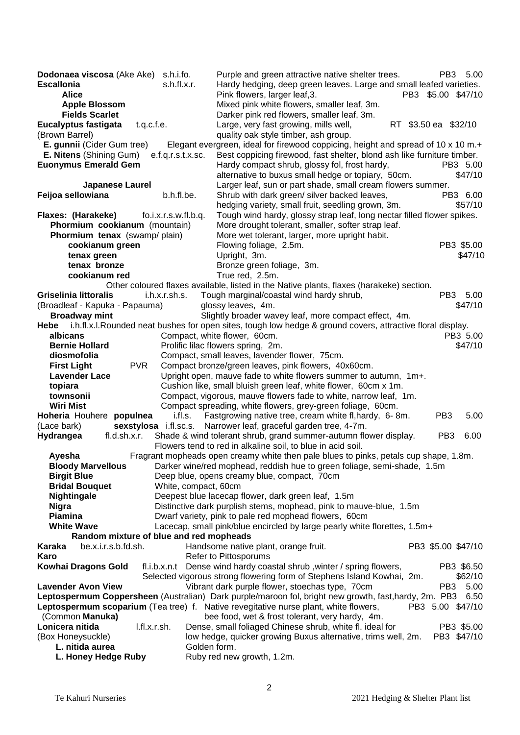| Dodonaea viscosa (Ake Ake) s.h.i.fo.                                                 | Purple and green attractive native shelter trees.<br>PB <sub>3</sub><br>5.00                                                                                    |
|--------------------------------------------------------------------------------------|-----------------------------------------------------------------------------------------------------------------------------------------------------------------|
| <b>Escallonia</b><br>s.h.fl.x.r.                                                     | Hardy hedging, deep green leaves. Large and small leafed varieties.                                                                                             |
| <b>Alice</b>                                                                         | PB3 \$5.00 \$47/10<br>Pink flowers, larger leaf, 3.                                                                                                             |
| <b>Apple Blossom</b>                                                                 | Mixed pink white flowers, smaller leaf, 3m.                                                                                                                     |
| <b>Fields Scarlet</b>                                                                | Darker pink red flowers, smaller leaf, 3m.                                                                                                                      |
| Eucalyptus fastigata<br>t.q.c.f.e.                                                   | RT \$3.50 ea \$32/10<br>Large, very fast growing, mills well,                                                                                                   |
| (Brown Barrel)                                                                       | quality oak style timber, ash group.                                                                                                                            |
| E. gunnii (Cider Gum tree)                                                           | Elegant evergreen, ideal for firewood coppicing, height and spread of 10 x 10 m.+                                                                               |
| E. Nitens (Shining Gum)<br>e.f.q.r.s.t.x.sc.                                         | Best coppicing firewood, fast shelter, blond ash like furniture timber.                                                                                         |
| <b>Euonymus Emerald Gem</b>                                                          | Hardy compact shrub, glossy fol, frost hardy,<br>PB3 5.00                                                                                                       |
|                                                                                      | alternative to buxus small hedge or topiary, 50cm.<br>\$47/10                                                                                                   |
| <b>Japanese Laurel</b><br>b.h.fl.be.<br>Feijoa sellowiana                            | Larger leaf, sun or part shade, small cream flowers summer.<br>Shrub with dark green/ silver backed leaves,<br>PB3 6.00                                         |
|                                                                                      | hedging variety, small fruit, seedling grown, 3m.<br>\$57/10                                                                                                    |
| Flaxes: (Harakeke)<br>fo.i.x.r.s.w.fl.b.q.                                           | Tough wind hardy, glossy strap leaf, long nectar filled flower spikes.                                                                                          |
| Phormium cookianum (mountain)                                                        | More drought tolerant, smaller, softer strap leaf.                                                                                                              |
| Phormium tenax (swamp/plain)                                                         | More wet tolerant, larger, more upright habit.                                                                                                                  |
| cookianum green                                                                      | Flowing foliage, 2.5m.<br>PB3 \$5.00                                                                                                                            |
| tenax green                                                                          | Upright, 3m.<br>\$47/10                                                                                                                                         |
| tenax bronze                                                                         | Bronze green foliage, 3m.                                                                                                                                       |
| cookianum red                                                                        | True red, 2.5m.                                                                                                                                                 |
|                                                                                      | Other coloured flaxes available, listed in the Native plants, flaxes (harakeke) section.                                                                        |
| <b>Griselinia littoralis</b><br>i.h.x.r.sh.s.                                        | Tough marginal/coastal wind hardy shrub,<br>PB3 5.00                                                                                                            |
| (Broadleaf - Kapuka - Papauma)                                                       | glossy leaves, 4m.<br>\$47/10                                                                                                                                   |
| <b>Broadway mint</b>                                                                 | Slightly broader wavey leaf, more compact effect, 4m.                                                                                                           |
| Hebe                                                                                 | i.h.fl.x.l.Rounded neat bushes for open sites, tough low hedge & ground covers, attractive floral display.                                                      |
| albicans                                                                             | Compact, white flower, 60cm.<br>PB3 5.00                                                                                                                        |
| <b>Bernie Hollard</b>                                                                | Prolific lilac flowers spring, 2m.<br>\$47/10                                                                                                                   |
| diosmofolia                                                                          | Compact, small leaves, lavender flower, 75cm.                                                                                                                   |
| <b>PVR</b><br><b>First Light</b>                                                     | Compact bronze/green leaves, pink flowers, 40x60cm.                                                                                                             |
| <b>Lavender Lace</b>                                                                 | Upright open, mauve fade to white flowers summer to autumn, 1m+.                                                                                                |
| topiara<br>townsonii                                                                 | Cushion like, small bluish green leaf, white flower, 60cm x 1m.                                                                                                 |
| <b>Wiri Mist</b>                                                                     | Compact, vigorous, mauve flowers fade to white, narrow leaf, 1m.<br>Compact spreading, white flowers, grey-green foliage, 60cm.                                 |
| Hoheria Houhere populnea<br>i.fl.s.                                                  | PB <sub>3</sub><br>5.00<br>Fastgrowing native tree, cream white fl, hardy, 6-8m.                                                                                |
| (Lace bark)                                                                          | sexstylosa i.fl.sc.s. Narrower leaf, graceful garden tree, 4-7m.                                                                                                |
| Hydrangea<br>fl.d.sh.x.r.                                                            | Shade & wind tolerant shrub, grand summer-autumn flower display.<br>PB <sub>3</sub><br>6.00                                                                     |
|                                                                                      | Flowers tend to red in alkaline soil, to blue in acid soil.                                                                                                     |
| Ayesha                                                                               | Fragrant mopheads open creamy white then pale blues to pinks, petals cup shape, 1.8m.                                                                           |
| <b>Bloody Marvellous</b>                                                             | Darker wine/red mophead, reddish hue to green foliage, semi-shade, 1.5m                                                                                         |
| <b>Birgit Blue</b>                                                                   | Deep blue, opens creamy blue, compact, 70cm                                                                                                                     |
| <b>Bridal Bouquet</b><br>White, compact, 60cm                                        |                                                                                                                                                                 |
| Nightingale                                                                          | Deepest blue lacecap flower, dark green leaf, 1.5m                                                                                                              |
| <b>Nigra</b>                                                                         | Distinctive dark purplish stems, mophead, pink to mauve-blue, 1.5m                                                                                              |
| Piamina                                                                              | Dwarf variety, pink to pale red mophead flowers, 60cm                                                                                                           |
| <b>White Wave</b>                                                                    | Lacecap, small pink/blue encircled by large pearly white florettes, 1.5m+                                                                                       |
| Random mixture of blue and red mopheads                                              |                                                                                                                                                                 |
| Karaka<br>be.x.i.r.s.b.fd.sh.                                                        | Handsome native plant, orange fruit.<br>PB3 \$5.00 \$47/10                                                                                                      |
| Karo                                                                                 | Refer to Pittosporums                                                                                                                                           |
| <b>Kowhai Dragons Gold</b>                                                           | fl.i.b.x.n.t Dense wind hardy coastal shrub, winter / spring flowers,<br>PB3 \$6.50                                                                             |
| <b>Lavender Avon View</b>                                                            | Selected vigorous strong flowering form of Stephens Island Kowhai, 2m.<br>\$62/10<br>Vibrant dark purple flower, stoechas type, 70cm<br>PB <sub>3</sub><br>5.00 |
|                                                                                      | Leptospermum Coppersheen (Australian) Dark purple/maroon fol, bright new growth, fast, hardy, 2m. PB3 6.50                                                      |
| Leptospermum scoparium (Tea tree) f. Native revegitative nurse plant, white flowers, | PB3 5.00 \$47/10                                                                                                                                                |
| (Common Manuka)                                                                      | bee food, wet & frost tolerant, very hardy, 4m.                                                                                                                 |
| Lonicera nitida<br>I.fl.x.r.sh.                                                      | Dense, small foliaged Chinese shrub, white fl. ideal for<br>PB3 \$5.00                                                                                          |
| (Box Honeysuckle)                                                                    | low hedge, quicker growing Buxus alternative, trims well, 2m.<br>PB3 \$47/10                                                                                    |
| Golden form.<br>L. nitida aurea                                                      |                                                                                                                                                                 |
| L. Honey Hedge Ruby                                                                  | Ruby red new growth, 1.2m.                                                                                                                                      |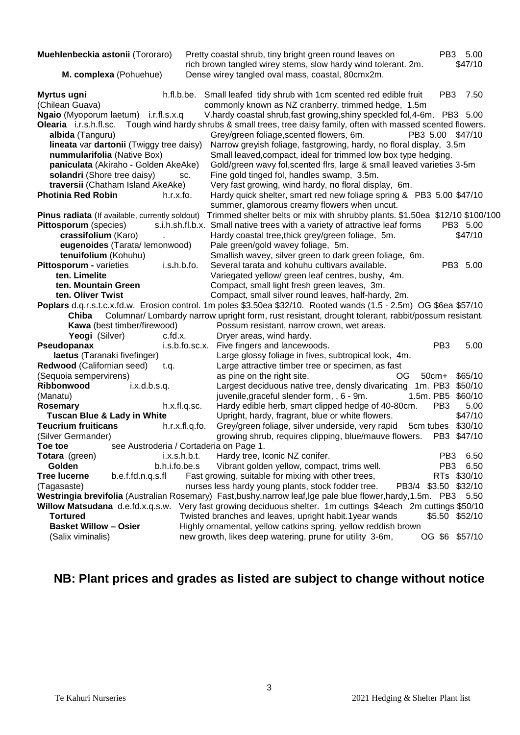| Muehlenbeckia astonii (Tororaro)<br>M. complexa (Pohuehue) |                                         | Pretty coastal shrub, tiny bright green round leaves on<br>rich brown tangled wirey stems, slow hardy wind tolerant. 2m.<br>Dense wirey tangled oval mass, coastal, 80cmx2m. | PB3 5.00<br>\$47/10     |
|------------------------------------------------------------|-----------------------------------------|------------------------------------------------------------------------------------------------------------------------------------------------------------------------------|-------------------------|
|                                                            |                                         |                                                                                                                                                                              |                         |
| Myrtus ugni                                                | h.fl.b.be.                              | Small leafed tidy shrub with 1cm scented red edible fruit                                                                                                                    | 7.50<br>PB <sub>3</sub> |
| (Chilean Guava)                                            |                                         | commonly known as NZ cranberry, trimmed hedge, 1.5m                                                                                                                          |                         |
| Ngaio (Myoporum laetum) i.r.fl.s.x.q                       |                                         | V.hardy coastal shrub, fast growing, shiny speckled fol, 4-6m. PB3 5.00                                                                                                      |                         |
| Olearia i.r.s.h.fl.sc.                                     |                                         | Tough wind hardy shrubs & small trees, tree daisy family, often with massed scented flowers.                                                                                 |                         |
| albida (Tanguru)                                           |                                         | Grey/green foliage, scented flowers, 6m.                                                                                                                                     | PB3 5.00 \$47/10        |
| lineata var dartonii (Twiggy tree daisy)                   |                                         | Narrow greyish foliage, fastgrowing, hardy, no floral display, 3.5m                                                                                                          |                         |
| nummularifolia (Native Box)                                |                                         | Small leaved, compact, ideal for trimmed low box type hedging.                                                                                                               |                         |
| paniculata (Akiraho - Golden AkeAke)                       |                                         | Gold/green wavy fol, scented firs, large & small leaved varieties 3-5m                                                                                                       |                         |
| solandri (Shore tree daisy)                                | SC.                                     | Fine gold tinged fol, handles swamp, 3.5m.                                                                                                                                   |                         |
| traversii (Chatham Island AkeAke)                          |                                         | Very fast growing, wind hardy, no floral display, 6m.                                                                                                                        |                         |
| <b>Photinia Red Robin</b>                                  | h.r.x.fo.                               | Hardy quick shelter, smart red new foliage spring & PB3 5.00 \$47/10<br>summer, glamorous creamy flowers when uncut.                                                         |                         |
| Pinus radiata (If available, currently soldout)            |                                         | Trimmed shelter belts or mix with shrubby plants. \$1.50ea \$12/10 \$100/100                                                                                                 |                         |
| <b>Pittosporum</b> (species)                               |                                         | s.i.h.sh.fl.b.x. Small native trees with a variety of attractive leaf forms                                                                                                  | PB3 5.00                |
| crassifolium (Karo)                                        |                                         | Hardy coastal tree, thick grey/green foliage, 5m.                                                                                                                            | \$47/10                 |
|                                                            | eugenoides (Tarata/ lemonwood)          | Pale green/gold wavey foliage, 5m.                                                                                                                                           |                         |
| tenuifolium (Kohuhu)                                       |                                         | Smallish wavey, silver green to dark green foliage, 6m.                                                                                                                      |                         |
| Pittosporum - varieties                                    | i.s.h.b.fo.                             | Several tarata and kohuhu cultivars available.                                                                                                                               | PB3 5.00                |
| ten. Limelite                                              |                                         | Variegated yellow/ green leaf centres, bushy, 4m.                                                                                                                            |                         |
| ten. Mountain Green                                        |                                         | Compact, small light fresh green leaves, 3m.                                                                                                                                 |                         |
| ten. Oliver Twist                                          |                                         | Compact, small silver round leaves, half-hardy, 2m.                                                                                                                          |                         |
|                                                            |                                         | Poplars d.q.r.s.t.c.x.fd.w. Erosion control. 1m poles \$3.50ea \$32/10. Rooted wands (1.5 - 2.5m) OG \$6ea \$57/10                                                           |                         |
| Chiba                                                      |                                         | Columnar/ Lombardy narrow upright form, rust resistant, drought tolerant, rabbit/possum resistant.                                                                           |                         |
| Kawa (best timber/firewood)                                |                                         | Possum resistant, narrow crown, wet areas.                                                                                                                                   |                         |
| Yeogi (Silver)                                             | c.fd.x.<br>i.s.b.fo.sc.x.               | Dryer areas, wind hardy.                                                                                                                                                     | PB <sub>3</sub><br>5.00 |
| Pseudopanax<br>laetus (Taranaki fivefinger)                |                                         | Five fingers and lancewoods.                                                                                                                                                 |                         |
| Redwood (Californian seed)                                 | t.q.                                    | Large glossy foliage in fives, subtropical look, 4m.<br>Large attractive timber tree or specimen, as fast                                                                    |                         |
| (Sequoia sempervirens)                                     |                                         | as pine on the right site.<br>OG.<br>$50cm+$                                                                                                                                 | \$65/10                 |
| Ribbonwood                                                 | i.x.d.b.s.q.                            | Largest deciduous native tree, densly divaricating 1m. PB3                                                                                                                   | \$50/10                 |
| (Manatu)                                                   |                                         | juvenile, graceful slender form, , 6 - 9m.<br>1.5m. PB5                                                                                                                      | \$60/10                 |
| Rosemary                                                   | h.x.fl.q.sc.                            | Hardy edible herb, smart clipped hedge of 40-80cm.                                                                                                                           | PB <sub>3</sub><br>5.00 |
| <b>Tuscan Blue &amp; Lady in White</b>                     |                                         | Upright, hardy, fragrant, blue or white flowers.                                                                                                                             | \$47/10                 |
| <b>Teucrium fruiticans</b>                                 | h.r.x.fl.q.fo.                          | Grey/green foliage, silver underside, very rapid                                                                                                                             | 5cm tubes \$30/10       |
| (Silver Germander)                                         |                                         | growing shrub, requires clipping, blue/mauve flowers.  PB3 \$47/10                                                                                                           |                         |
| Toe toe                                                    | see Austroderia / Cortaderia on Page 1. |                                                                                                                                                                              |                         |
| Totara (green)                                             | i.x.s.h.b.t.                            | Hardy tree, Iconic NZ conifer.                                                                                                                                               | 6.50<br>PB <sub>3</sub> |
| Golden                                                     | b.h.i.fo.be.s                           | Vibrant golden yellow, compact, trims well.                                                                                                                                  | PB <sub>3</sub><br>6.50 |
| <b>Tree lucerne</b>                                        | b.e.f.fd.n.q.s.fl                       | Fast growing, suitable for mixing with other trees,                                                                                                                          | RTs \$30/10             |
| (Tagasaste)                                                |                                         | nurses less hardy young plants, stock fodder tree.<br>PB3/4 \$3.50 \$32/10                                                                                                   |                         |
|                                                            |                                         | Westringia brevifolia (Australian Rosemary) Fast, bushy, narrow leaf, Ige pale blue flower, hardy, 1.5m. PB3                                                                 | 5.50                    |
| Willow Matsudana d.e.fd.x.q.s.w.                           |                                         | Very fast growing deciduous shelter. 1m cuttings \$4each 2m cuttings \$50/10                                                                                                 |                         |
| <b>Tortured</b>                                            |                                         | Twisted branches and leaves, upright habit.1year wands                                                                                                                       | \$5.50 \$52/10          |
| <b>Basket Willow - Osier</b>                               |                                         | Highly ornamental, yellow catkins spring, yellow reddish brown                                                                                                               |                         |
| (Salix viminalis)                                          |                                         | new growth, likes deep watering, prune for utility 3-6m,                                                                                                                     | OG \$6 \$57/10          |
|                                                            |                                         |                                                                                                                                                                              |                         |

## **NB: Plant prices and grades as listed are subject to change without notice**